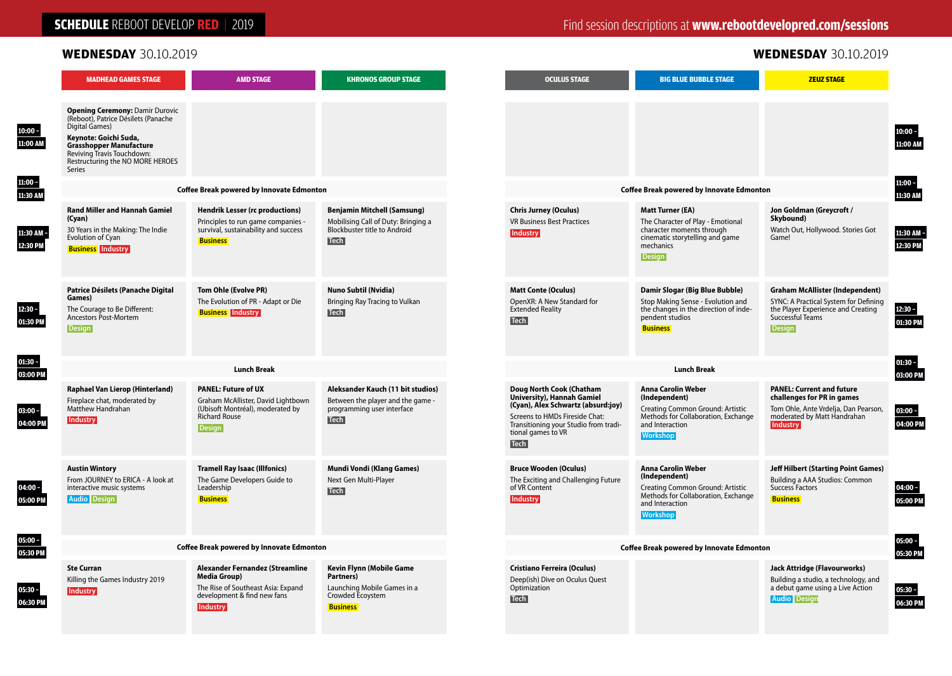## **SCHEDULE** REBOOT DEVELOP **RED** | 2019

### **WEDNESDAY** 30.10.2019 **WEDNESDAY** 30.10.2019

|                       | <b>MADHEAD GAMES STAGE</b>                                                                                                                                                                                                             | <b>AMD STAGE</b>                                                                                                                              | <b>KHRONOS GROUP STAGE</b>                                                                                                      | <b>OCULUS STAGE</b>                                                                                                                                                                                          | <b>BIG BLUE BUBBLE STAGE</b>                                                                                                                                | <b>ZEUZ STAGE</b>                                                                                                                                          |                                    |  |
|-----------------------|----------------------------------------------------------------------------------------------------------------------------------------------------------------------------------------------------------------------------------------|-----------------------------------------------------------------------------------------------------------------------------------------------|---------------------------------------------------------------------------------------------------------------------------------|--------------------------------------------------------------------------------------------------------------------------------------------------------------------------------------------------------------|-------------------------------------------------------------------------------------------------------------------------------------------------------------|------------------------------------------------------------------------------------------------------------------------------------------------------------|------------------------------------|--|
| $10:00 -$<br>11:00 AM | <b>Opening Ceremony: Damir Durovic</b><br>(Reboot), Patrice Désilets (Panache<br>Digital Games)<br>Keynote: Goichi Suda,<br><b>Grasshopper Manufacture</b><br>Reviving Travis Touchdown:<br>Restructuring the NO MORE HEROES<br>Series |                                                                                                                                               |                                                                                                                                 |                                                                                                                                                                                                              |                                                                                                                                                             |                                                                                                                                                            | $10:00 -$<br>11:00 AM<br>$11:00 -$ |  |
| 11:00 -<br>11:30 AM   | <b>Coffee Break powered by Innovate Edmonton</b>                                                                                                                                                                                       |                                                                                                                                               |                                                                                                                                 | <b>Coffee Break powered by Innovate Edmonton</b>                                                                                                                                                             |                                                                                                                                                             |                                                                                                                                                            |                                    |  |
| 11:30 AM<br>12:30 PM  | <b>Rand Miller and Hannah Gamiel</b><br>(Cyan)<br>30 Years in the Making: The Indie<br>Evolution of Cyan<br><b>Business</b> Industry                                                                                                   | <b>Hendrik Lesser (rc productions)</b><br>Principles to run game companies -<br>survival, sustainability and success<br><b>Business</b>       | <b>Benjamin Mitchell (Samsung)</b><br>Mobilising Call of Duty: Bringing a<br><b>Blockbuster title to Android</b><br><b>Tech</b> | <b>Chris Jurney (Oculus)</b><br><b>VR Business Best Practices</b><br><b>Industry</b>                                                                                                                         | <b>Matt Turner (EA)</b><br>The Character of Play - Emotional<br>character moments through<br>cinematic storytelling and game<br>mechanics<br>Design         | Jon Goldman (Greycroft /<br>Skybound)<br>Watch Out, Hollywood. Stories Got<br>Game!                                                                        | 11:30 AM -<br>12:30 PM             |  |
| 12:30 -<br>01:30 PM   | Patrice Désilets (Panache Digital<br>Games)<br>The Courage to Be Different:<br>Ancestors Post-Mortem<br><b>Design</b>                                                                                                                  | Tom Ohle (Evolve PR)<br>The Evolution of PR - Adapt or Die<br><b>Business</b> Industry                                                        | <b>Nuno Subtil (Nvidia)</b><br>Bringing Ray Tracing to Vulkan<br><b>Tech</b>                                                    | <b>Matt Conte (Oculus)</b><br>OpenXR: A New Standard for<br><b>Extended Reality</b><br>Tech                                                                                                                  | Damir Slogar (Big Blue Bubble)<br>Stop Making Sense - Evolution and<br>the changes in the direction of inde-<br>pendent studios<br><b>Business</b>          | <b>Graham McAllister (Independent)</b><br>SYNC: A Practical System for Defining<br>the Player Experience and Creating<br>Successful Teams<br><b>Design</b> | $12:30 -$<br>01:30 PM              |  |
| $01:30 -$<br>03:00 PM | <b>Lunch Break</b>                                                                                                                                                                                                                     |                                                                                                                                               |                                                                                                                                 | $01:30 -$<br><b>Lunch Break</b><br>03:00 PM                                                                                                                                                                  |                                                                                                                                                             |                                                                                                                                                            |                                    |  |
| $03:00 -$<br>04:00 PM | <b>Raphael Van Lierop (Hinterland)</b><br>Fireplace chat, moderated by<br>Matthew Handrahan<br><b>Industry</b>                                                                                                                         | <b>PANEL: Future of UX</b><br>Graham McAllister, David Lightbown<br>(Ubisoft Montréal), moderated by<br><b>Richard Rouse</b><br><b>Design</b> | Aleksander Kauch (11 bit studios)<br>Between the player and the game -<br>programming user interface<br><b>Tech</b>             | Doug North Cook (Chatham<br>University), Hannah Gamiel<br>(Cyan), Alex Schwartz (absurd:joy)<br>Screens to HMDs Fireside Chat:<br>Transitioning your Studio from tradi-<br>tional games to VR<br><b>Tech</b> | <b>Anna Carolin Weber</b><br>(Independent)<br>Creating Common Ground: Artistic<br>Methods for Collaboration, Exchange<br>and Interaction<br><b>Workshop</b> | <b>PANEL: Current and future</b><br>challenges for PR in games<br>Tom Ohle, Ante Vrdelja, Dan Pearson,<br>moderated by Matt Handrahan<br><b>Industry</b>   | $03:00 -$<br>04:00 PM              |  |
| $04:00 -$<br>05:00 PM | <b>Austin Wintory</b><br>From JOURNEY to ERICA - A look at<br>interactive music systems<br><b>Audio</b> Design                                                                                                                         | <b>Tramell Ray Isaac (Illfonics)</b><br>The Game Developers Guide to<br>Leadership<br><b>Business</b>                                         | Mundi Vondi (Klang Games)<br>Next Gen Multi-Player<br><b>Tech</b>                                                               | <b>Bruce Wooden (Oculus)</b><br>The Exciting and Challenging Future<br>of VR Content<br><b>Industry</b>                                                                                                      | <b>Anna Carolin Weber</b><br>(Independent)<br>Creating Common Ground: Artistic<br>Methods for Collaboration, Exchange<br>and Interaction<br><b>Workshop</b> | <b>Jeff Hilbert (Starting Point Games)</b><br>Building a AAA Studios: Common<br>Success Factors<br><b>Business</b>                                         | $04:00 -$<br>05:00 PM              |  |
| $05:00 -$<br>05:30 PM | <b>Coffee Break powered by Innovate Edmonton</b>                                                                                                                                                                                       |                                                                                                                                               |                                                                                                                                 | <b>Coffee Break powered by Innovate Edmonton</b>                                                                                                                                                             |                                                                                                                                                             |                                                                                                                                                            | 05:00 -<br>05:30 PM                |  |
| $05:30 -$<br>06:30 PM | <b>Ste Curran</b><br>Killing the Games Industry 2019<br><b>Industry</b>                                                                                                                                                                | Alexander Fernandez (Streamline<br><b>Media Group)</b><br>The Rise of Southeast Asia: Expand<br>development & find new fans<br>Industry       | Kevin Flynn (Mobile Game<br>Partners)<br>Launching Mobile Games in a<br>Crowded Ecoystem<br><b>Business</b>                     | <b>Cristiano Ferreira (Oculus)</b><br>Deep(ish) Dive on Oculus Quest<br>Optimization<br><b>Tech</b>                                                                                                          |                                                                                                                                                             | <b>Jack Attridge (Flavourworks)</b><br>Building a studio, a technology, and<br>a debut game using a Live Action<br><b>Audio</b> Design                     | $05:30 -$<br>06:30 PM              |  |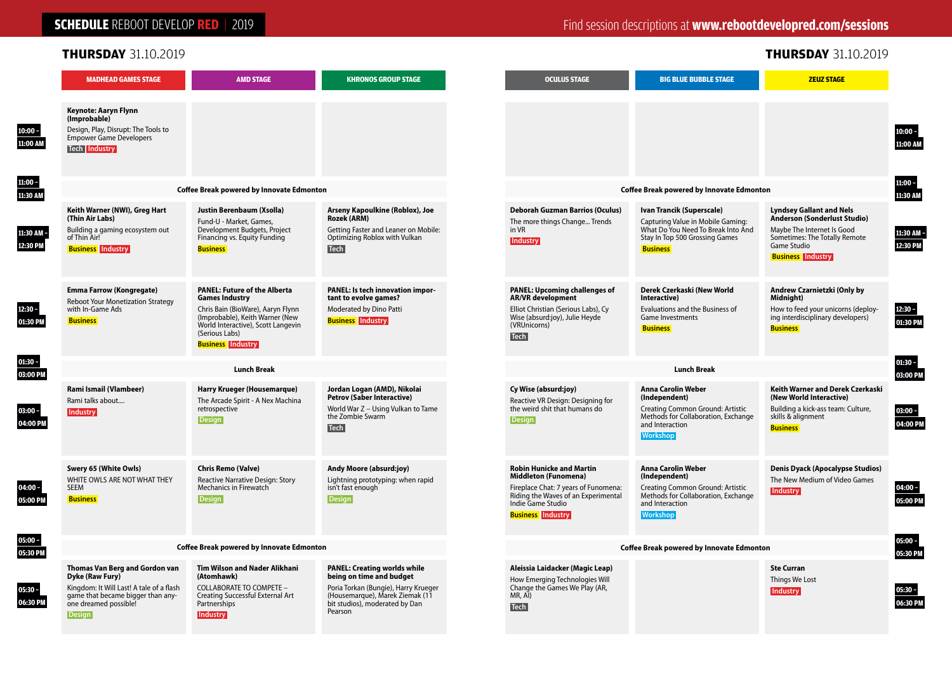### **SCHEDULE** REBOOT DEVELOP **RED** | 2019

 **10:00 – 11:00 AM** 

> **11:00 – 11:30 AM**

 **11:30 AM – 12:30 PM** 

 **12:30 – 01:30 PM** 

> **01:30 – 03:00 PM**

 **03:00 – 04:00 PM** 

 **05:00 – 05:30 PM** 

 **05:30 – 06:30 PM** 

 **04:00 – 05:00 PM** 

| THURSDAY 31.10.2019                                                                                                                                                          |                                                                                                                                                                                                                          |                                                                                                                                                                                         |  |                                                                                                                                                                                                |                                                                                                                                                             | <b>THURSDAY 31.10.2019</b>                                                                                                                                                       |  |
|------------------------------------------------------------------------------------------------------------------------------------------------------------------------------|--------------------------------------------------------------------------------------------------------------------------------------------------------------------------------------------------------------------------|-----------------------------------------------------------------------------------------------------------------------------------------------------------------------------------------|--|------------------------------------------------------------------------------------------------------------------------------------------------------------------------------------------------|-------------------------------------------------------------------------------------------------------------------------------------------------------------|----------------------------------------------------------------------------------------------------------------------------------------------------------------------------------|--|
| <b>MADHEAD GAMES STAGE</b>                                                                                                                                                   | <b>AMD STAGE</b>                                                                                                                                                                                                         | <b>KHRONOS GROUP STAGE</b>                                                                                                                                                              |  | <b>OCULUS STAGE</b>                                                                                                                                                                            | <b>BIG BLUE BUBBLE STAGE</b>                                                                                                                                | <b>ZEUZ STAGE</b>                                                                                                                                                                |  |
| Keynote: Aaryn Flynn<br>(Improbable)<br>Design, Play, Disrupt: The Tools to<br><b>Empower Game Developers</b><br><b>Tech Industry</b>                                        |                                                                                                                                                                                                                          |                                                                                                                                                                                         |  |                                                                                                                                                                                                |                                                                                                                                                             |                                                                                                                                                                                  |  |
|                                                                                                                                                                              | <b>Coffee Break powered by Innovate Edmonton</b>                                                                                                                                                                         |                                                                                                                                                                                         |  | <b>Coffee Break powered by Innovate Edmonton</b>                                                                                                                                               |                                                                                                                                                             |                                                                                                                                                                                  |  |
| Keith Warner (NWI), Greg Hart<br>(Thin Air Labs)<br>Building a gaming ecosystem out<br>of Thin Air!<br><b>Business</b> Industry                                              | Justin Berenbaum (Xsolla)<br>Fund-U - Market, Games,<br>Development Budgets, Project<br>Financing vs. Equity Funding<br><b>Business</b>                                                                                  | Arseny Kapoulkine (Roblox), Joe<br>Rozek (ARM)<br>Getting Faster and Leaner on Mobile:<br>Optimizing Roblox with Vulkan<br><b>Tech</b>                                                  |  | <b>Deborah Guzman Barrios (Oculus)</b><br>The more things Change Trends<br>in VR<br><b>Industry</b>                                                                                            | Ivan Trancik (Superscale)<br>Capturing Value in Mobile Gaming:<br>What Do You Need To Break Into And<br>Stay In Top 500 Grossing Games<br><b>Business</b>   | <b>Lyndsey Gallant and Nels</b><br><b>Anderson (Sonderlust Studio)</b><br>Maybe The Internet Is Good<br>Sometimes: The Totally Remote<br>Game Studio<br><b>Business</b> Industry |  |
| <b>Emma Farrow (Kongregate)</b><br><b>Reboot Your Monetization Strategy</b><br>with In-Game Ads<br><b>Business</b>                                                           | <b>PANEL: Future of the Alberta</b><br><b>Games Industry</b><br>Chris Bain (BioWare), Aaryn Flynn<br>(Improbable), Keith Warner (New<br>World Interactive), Scott Langevin<br>(Serious Labs)<br><b>Business</b> Industry | PANEL: Is tech innovation impor-<br>tant to evolve games?<br>Moderated by Dino Patti<br><b>Business</b> Industry                                                                        |  | <b>PANEL: Upcoming challenges of</b><br><b>AR/VR</b> development<br>Elliot Christian (Serious Labs), Cy<br>Wise (absurd:joy), Julie Heyde<br>(VRUnicorns)<br><b>Tech</b>                       | Derek Czerkaski (New World<br>Interactive)<br>Evaluations and the Business of<br><b>Game Investments</b><br><b>Business</b>                                 | Andrew Czarnietzki (Only by<br>Midnight)<br>How to feed your unicorns (deploy-<br>ing interdisciplinary developers)<br><b>Business</b>                                           |  |
| <b>Lunch Break</b>                                                                                                                                                           |                                                                                                                                                                                                                          |                                                                                                                                                                                         |  | <b>Lunch Break</b>                                                                                                                                                                             |                                                                                                                                                             |                                                                                                                                                                                  |  |
| Rami Ismail (Vlambeer)<br>Rami talks about<br>Industry                                                                                                                       | Harry Krueger (Housemarque)<br>The Arcade Spirit - A Nex Machina<br>retrospective<br><b>Design</b>                                                                                                                       | Jordan Logan (AMD), Nikolai<br><b>Petrov (Saber Interactive)</b><br>World War Z - Using Vulkan to Tame<br>the Zombie Swarm<br><b>Tech</b>                                               |  | Cy Wise (absurd:joy)<br>Reactive VR Design: Designing for<br>the weird shit that humans do<br><b>Design</b>                                                                                    | <b>Anna Carolin Weber</b><br>(Independent)<br>Creating Common Ground: Artistic<br>Methods for Collaboration, Exchange<br>and Interaction<br><b>Workshop</b> | Keith Warner and Derek Czerkaski<br>(New World Interactive)<br>Building a kick-ass team: Culture,<br>skills & alignment<br><b>Business</b>                                       |  |
| Swery 65 (White Owls)<br>WHITE OWLS ARE NOT WHAT THEY<br><b>SEEM</b><br><b>Business</b>                                                                                      | <b>Chris Remo (Valve)</b><br>Reactive Narrative Design: Story<br>Mechanics in Firewatch<br><b>Design</b>                                                                                                                 | Andy Moore (absurd:joy)<br>Lightning prototyping: when rapid<br>isn't fast enough<br><b>Design</b>                                                                                      |  | <b>Robin Hunicke and Martin</b><br><b>Middleton (Funomena)</b><br>Fireplace Chat: 7 years of Funomena:<br>Riding the Waves of an Experimental<br>Indie Game Studio<br><b>Business Industry</b> | <b>Anna Carolin Weber</b><br>(Independent)<br>Creating Common Ground: Artistic<br>Methods for Collaboration, Exchange<br>and Interaction<br><b>Workshop</b> | <b>Denis Dyack (Apocalypse Studios)</b><br>The New Medium of Video Games<br><b>Industry</b>                                                                                      |  |
| <b>Coffee Break powered by Innovate Edmonton</b>                                                                                                                             |                                                                                                                                                                                                                          |                                                                                                                                                                                         |  | <b>Coffee Break powered by Innovate Edmonton</b>                                                                                                                                               |                                                                                                                                                             |                                                                                                                                                                                  |  |
| Thomas Van Berg and Gordon van<br>Dyke (Raw Fury)<br>Kingdom: It Will Last! A tale of a flash<br>game that became bigger than any-<br>one dreamed possible!<br><b>Design</b> | <b>Tim Wilson and Nader Alikhani</b><br>(Atomhawk)<br><b>COLLABORATE TO COMPETE -</b><br>Creating Successful External Art<br>Partnerships<br><b>Industry</b>                                                             | <b>PANEL: Creating worlds while</b><br>being on time and budget<br>Poria Torkan (Bungie), Harry Krueger<br>(Housemarque), Marek Ziemak (11<br>bit studios), moderated by Dan<br>Pearson |  | Aleissia Laidacker (Magic Leap)<br>How Emerging Technologies Will<br>Change the Games We Play (AR,<br>MR, AI)<br><b>Tech</b>                                                                   |                                                                                                                                                             | <b>Ste Curran</b><br>Things We Lost<br>Industry                                                                                                                                  |  |